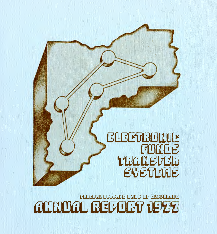## FEDERAL RESERVE BANK OF BLEVELAND **GNNUGL GEPLET 1922**

# **ELEBTRONOB FUNDS**<br>TRANSFER **SYSTEMS**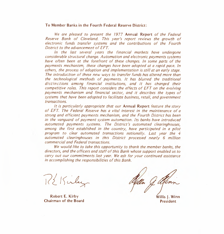#### **To Member Banks in the Fourth Federal Reserve District:**

*We are pleased to present the* 7977 **Annual Report** of *the Federal Reserve Bank* of *Cleveland. This year's report reviews the growth* of *electronic funds transfer systems and the contributions* of *the Fourth District to the advancement* of *EFT.*

*In the last several years the financial markets have undergone considerable structural change. Automation and electronic payments systems have often been at the forefront* of *these changes. In some parts* of *the payments mechanism, these changes have been adopted at a rapid pace. In others, the process* of *adoption and implementation is still at an early stage. The introduction* of *these new ways to transfer funds has altered more than the technological methods* of *payments. It has blurred the traditional dis tin* c *tions among financial institutions, and it has changed their competitive roles. This report considers the effects* of *EFT on the evolving payments mechanism and financial sector, and it describes the types* of *systems that have been adopted to facilitate business, retail, and government transactions.*

*It is particularly appropriate that our* **Annual Report** *feature the story* of *EFT. The Federal Reserve has a vital interest in the maintenance* of *a strong and efficient payments mechanism, and the Fourth District has been in the vanguard* of *payment system automation. Its banks have introduced automated payments systems. The District's automated clearinghouses, among the first established in the country, have participated in a pilot program to clear automated transactions nationally. Last year the 4 automated clearinghouses in this District processed nearly* 6 *million commercial and Federal transactions.*

*We would like to take this opportunity to thank the member banks, the directors, and the officers and staff* of *this Bank whose support enabled us to carry out our commitments last year. We ask for your continued assistance in accomplishing the responsibilities* of *this Bank.*

REKirley

**Robert E. Kirby Chairman of the Board**

**Willis J. Winn**

**President**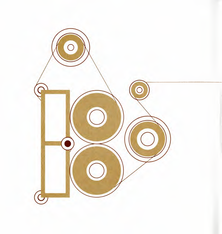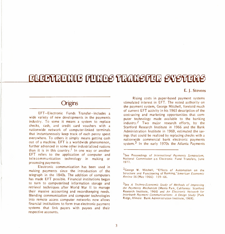## ELEBTRONIB FONDS TRANSFER SYSTEMS

## **Origins**

EFT-Electronic Funds Transfer-includes a wide variety of new developments in the payments industry. To some it means a system to replace checks, cash, and credit card vouchers with a nationwide network of computer-linked terminals that instantaneously keep track of each penny spent everywhere. To others it simply means getting cash out of a machine. EFT is a worldwide phenomenon, further advanced in some other industrialized nations than it is in this country.<sup> $1$ </sup> In one way or another EFT refers to the application of computer and telecommunication technology in making or processing payments.

Electronic communication has been used in making payments since the introduction of the telegraph in the 1840s. The addition of computers has made EFT possible. Financial institutions began to turn to computerized information storage and retrieval techniques after World War II to manage their massive accounting and record keeping needs. Blending communication and computer technologies into remote access computer networks now allows financial institutions to form true electronic payment systems that link payers with payees and their respective accounts.

#### E. J. Stevens

Rising costs in paper-based payment systems stimulated interest in EFT. The noted authority on the payment system, George Mitchell, foretold much of current EFT activity in his 1965 description of the cost-saving and marketing opportunities that computer technology made available to the banking industry.<sup>2</sup> Two major research efforts, by the Stanford Research Institute in 1966 and the Bank Administration Institute in 1969, estimated the savings that could be realized by replacing checks with a nationwide commercial bank electronic payments system. $3$  In the early 1970s the Atlanta Payments

3See *A Techno-Economic Study of Methods of Improving the Payments Mechanism* (Menlo Park, California: Stanford Research Institute, 1966) and *An Electronic Network for Interbank Payment Communications: A Design Study* (Park Ridge, Illinois: Bank Admin istration Institute, 1969).

<sup>1</sup>See Proceedings of *International Payments Symposium,* National Commission on Electronic Fund Transfers, June 1977.

<sup>2</sup>George W. Mitchell, "Effects of Automation on the Structure and Functioning of *Banking,"American Economic Review* 56 (May 1966): 159-66.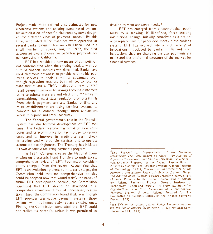Project made more refined cost estimates for new electronic systems and existing paper-based systems by investigation of specific electronic systems designed for different kinds of payment needs.<sup>4</sup> By this time, automated teller machines were operating at several banks, payment terminals had been used in a small number of stores, and, in 1972, the first automated clearinghouse for paperless payments began operating in California.

EFT has provided a new means of competition not contemplated when the existing regulatory structure of financial markets was developed. Banks have used electronic networks to provide nationwide payment services to their corporate customers even though regulation restricts bank offices to local or state market areas. Thrift institutions have offered retail payment services to savings account customers using telephone transfers and electronic terminals in stores, although most state regulation prohibits thrifts from check payment services. Banks, thrifts, and retail establishments are using terminal systems to compete for customers through more convenient access to deposit and credit accounts.

The Federal government's role in the financial system has also fostered development of EFT systems. The Federal Reserve has relied on new computer and telecommunication technology to reduce costs and to improve its traditional cash, check processing, and wire-transfer services, and to operate automated clearinghouses. The Treasury has initiated its own checkless recurring payments program.

In 1974, Congress created the National Commission on Electronic Fund Transfers to undertake a comprehensive review of EFT. Four major considerations emerged from the review. Recognizing that EFT is an evolutionary concept in its early stages, the Commission held that no comprehensive policies could be adopted now that would satisfy the needs of future EFT development. Second, the Commission concluded that EFT should be developed in a competitive environment free of unnecessary regulation. Third, the Commission found that, even though EFT provides alternative payment systems, those systems will not immediately replace existing ones. Finally, the Commission concluded that EFT could not realize its potential unless it was permitted to

develop to meet consumer needs.  $5$ 

EFT has emerged from a technological possibility to a growing, if ill-defined, force creating institutional change. Initially conceived as a nationwide replacement for paper documents in the banking system, EFT has evolved into a wide variety of innovations introduced by banks, thrifts and retail institutions that are changing the way payments are made and the traditional structure of the market for financial services.

<sup>4</sup>See *Research on Improvements of the Payments Mechanism: The Final Report on Phase I-An Analysis of Payments Transactions and Phase II-Payments Flow Data. 3* vols. (A tlanta: Prepared for the Federal Reserve Bank of Atlanta by Georgia Tech Research Institute, Georgia Institute of Technology, 1971); *Research on Improvements of the Payments Mechanism: Phase III-General Systems Design and Analysis of an Electronic Funds Transfer System,* 6 vols. (Atlanta: Prepared for the Federal Reserve Bank of Atlanta by Atlanta Payments Project, Georgia Institute of Technology, 1972); and *Phase IV-A Technical, Marketing, Organizational and Cost Evaluation of a Point-of-Sale Terminal System,* 5 vols. (Atlanta: Prepared for The Committee on Paperless Entries by the Atlanta Payments Project, 1973).

<sup>5</sup>See *EFT in the United States: Policy Recommendations and the Public Interest* (Washington, D. C.: National Commission on EFT, 1977).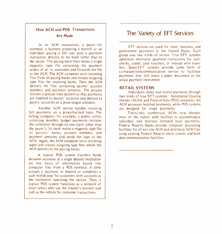### **How ACH and POS Transactions Are Made**

In an ACH transaction, a payer-for example, a business preparing a payroll or an individual paying a bill-can send a payment instruction directly to his bank rather than to the payee. The paying bank then makes a single magnetic tape file containing the payment orders of all its customers and forwards the file to the ACH. The ACH computer sorts incoming files from all paying banks and creates outgoing tape files for receiving banks. Then the ACH delivers the files containing payees' account numbers and payment amounts. The process follows a precise time pattern so that payments are credited to payees' accounts and debited to payers' accounts on a prearranged schedule.

Another ACH service handles recurring bill payments on a preauthorized basis. The billing company-for example, a public utility collecting monthly budget payments-initiates the collection through its own bank rather than the payer's. Its bank makes a magnetic tape file of payers' banks, account numbers, and payment amounts and sends the tape to the ACH. Again, the ACH computer sorts incoming tapes and creates outgoing tape files which the ACH delivers to the paying banks.

A typical POS system transfers funds between accounts at a single deposit institution on the basis of information keyed into computer files from a POS terminal. A clerk accepts a payment or deposit or completes a cash withdrawal for customers with accounts at the institution operating the service. Thus, a typical POS system functions as a network of retail tellers who use the retailer's account and cash as the vehicle for customer transactions.

## **The Variety of EFT Services**

EFT services are used for retail, business, and government payments in the United States. Each group uses two kinds of service. True EFT systems substitute electronic payment instructions for cash, checks, credit card vouchers, or manual wire transfers. Quasi-EFT systems provide some form of computer/telecommunication service to facilitate payments that still retain a paper document as the actual payment instrument.

#### **RETAIL SYSTEMS**

Individuals make and receive payments through two kinds of true EFT systems: Automated Clearing Houses (ACHs) and Point-of-Sale (POS) networks. An ACH processes batched payments, while POS systems are designed for single payments.

Thirty-two commercial ACHs now blanket most of the nation with facilities to accommodate individual and business initiated local payments. Federal Reserve Banks provide computer processing facilities for all but one ACH and distribute ACH files using existing Federal Reserve check courier and bulk data communication facilities.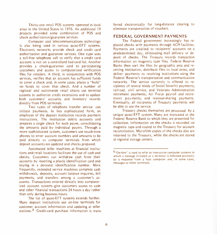Thirty-one retail POS systems operated in local areas in the United States in 1976. An additional 19 projects provided some combination of POS and check authorization/guarantee services.

Computer and telecommunications technology is also being used in various quasi-EFT systems. Electronic networks provide check and credit card authorization and guarantee services. One type uses a toll-free telephone call to verify that a credit card account is not on a centralized bad-card list. Another provides a check-guarantee card to participating customers and access to computerized verification files for retailers. A third, in conjunction with POS services, verifies that an account has sufficient funds to cover a check and, in some cases, places a "hold" on funds to cover that check. And a number of regional and nationwide retail chains use terminal systems to authorize credit extensions and to update both customers' accounts and inventory records directly from POS terminals.

Two types of telephone transfer service can initiate payments. In less sophisticated form, an employee of the deposit institution records payment instructions. The institution debits accounts and prepares a single check for each payee, consolidating the amounts paid by individual payers. Through a more sophisticated system, customers use touch-tone phones to enter account numbers and amounts to be paid directly to computer terminals from which deposit accounts are updated and checks prepared.

Automated teller machines at financial institutions and retail locations facilitate the use of cash and checks. Customers can withdraw cash from their accounts by inserting a plastic identification card and keying in a personal identification number. More frequently, extended service machines complete cash withdrawals, deposits, account balance inquiries, bill payments, and transfers among a customer's accounts. Transactions entered directly into computerized account systems give customers access to cash and other financial transactions 24 hours a day rather than only during business hours.

The list of quasi-EFT systems extends further. Many deposit institutions use on-line terminals for customer account information and updating at teller stations.  $6$  Credit-card purchase information is transferred electronically for long-distance clearing to eliminate transportation of vouchers.

#### **FEDERAL GOVERNMENT PAYMENTS**

The Federal government increasingly has replaced checks with payments through ACH facilities. Payments are credited to recipients' accounts on a predetermined day, eliminating mail delivery or deposit of checks. The Treasury records transaction information on magnetic tape files. Federal Reserve Banks then sort the files by geographic area and receiving institution, distribute files to local areas, and deliver payments to receiving institutions using the Federal Reserve's transportation and communication networks. The service currently is offered to recipients of several kinds of Social Security payments; railroad, civil service, and Veterans Administration retirement payments; Air Force payroll and retirement payments; and revenue-sharing payments. Eventually, all recipients of Treasury payments will be able to use the service.

Treasury checks themselves are processed by a unique quasi-E **FT** system. Many are truncated at the Federal Reserve Bank to which they are presented for collection. Information on the checks is recorded on magnetic tape and routed to the Treasury for account reconciliation. Microfilm copies of the checks also are returned to the Treasury, while the checks are stored at regional storage centers.

<sup>6&</sup>quot;On-line" is used to refer to interactive computer systems in which a message initiated at a terminal is followed promptly by a response from a host computer and, in some cases, messages to other terminals.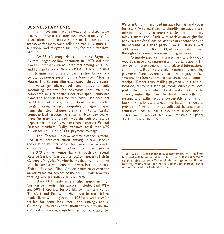#### **BUSINESS PAYMENTS**

EFT systems have emerged as indispensable means of payment among businesses, especially for international and national money market transactions that have for many years relied on manually operated telephone and telegraph facilities for rapid transfers of funds.

CHIPS (Clearing House Interbank Payments System) began on-line operation in 1970 and now handles interbank money transfers among 75 U. S. and foreign banks in New York City. Telephone lines link terminal computers of participating banks to a central computer system at the New York Clearing House. The System eliminates paper check preparation, messenger delivery, and manual input into bank accounting systems for payments that must be completed in a critically short time span. Computer name and address files for frequently used accounts facilitate input of information about transactions by identity codes. Terminal computers or magnetic tapes from the clearinghouse are the links to banks' computerized accounting systems. Next-day settlement for transfers is performed through the reserve deposit accounts of New York banks that are Federal Reserve members. Daily transfers total over \$75 billion for 45,000 to 50,000 payment messages.

The Federal Reserve communication system, Fed Wire, transfers funds among reserve deposit accounts of member banks, for banks' own accounts or indirectly for third parties. The current service links 379 on-line member banks through 37 Federal Reserve Bank offices via a central computer switch in Culpeper, Virginia. Member banks that are not on-line use the service by telephone or wire instruction to a Federal Reserve office. On-line banks accounted for an estimated 90 percent of the 58,000 daily transfers totaling over \$80 billion daily in 1976.

Quasi-EFT systems are also important for business payments. This category includes Bank Wire and SWIFT (Society for Worldwide Interbank Funds Transfer) and Fed Wire when used in the off-line mode. Bank Wire originated in 1952 as a wire transfer service for some New York and Chicago banks. Currently, 194 banks throughout the country use the cooperative message-switching service operated by

Western Union. Prescribed message formats and codes for Bank Wire participants simplify message transmission and provide more security than ordinary telex transmission. Bank Wire enables an originating bank to transfer funds on deposit at another bank to the account of a third party.<sup>7</sup> SWIFT, linking over 500 banks around the world, offers a similar service through an on-line message-switching network.

Computerized cash management and lock-box reporting networks represent an important quasi-EFT service for large regional, national, and international corporations. Businesses receiving numerous recurring payments from customers over a wide geographical area use lock-box systems to accelerate and to control receipts. Rather than mailing payments to a central location, customers send payments directly to local post office boxes where local banks pick up the checks, enter them in the local check-collection system, and gather accounts-receivable information. Lock-box banks use a telecommunication network to provide information about collected balances to a centralized office that consolidates funds into a disbursement account by wire transfers or paper drafts drawn on the local banks.

 $7B$ ank Wire II is the planned successor to the existing Bank Wire and will be operated by Collins Radio. It is expected to be an on-line system offering single message and bulk data transfer, value-dating, and net settlement for member ban ks on the books of the Federal Reserve.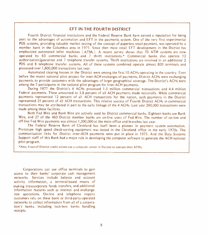#### **EFT IN THE FOURTH DISTRICT**

Fourth District financial institutions and the Federal Reserve Bank have earned a reputation for being alert to the advantages of automation and EFT in the payments system. One of the very first experimental POS systems, providing valuable market testing of the concept of paperless retail payment, was operated by a member bank in the Columbus area in 1971. Since then most retail EFT development in the District has emphasized automated teller machines (ATMs). A recent survey shows that 70 ATM systems are now operated by 63 commercial banks and 7 thrift institutions.\* Commercial banks also operate 12 authorization/guarantee and 7 telephone transfer systems. Thrift institutions are involved in an additional 2 POS and 8 telephone transfer systems. All of these systems combined operate almost 800 terminals and processed over 1,600,000 transactions last year.

Automated clearing houses in the District were among the first 10 ACHs operating in the country. Even before the recent national pilot project for inter-ACH exchanges of payments, District ACHs were exchanging payments to provide customers with the advantages of larger geographical coverage. The District's ACHs were among the 7 participants in the national pilot program for inter-ACH payments.

During 1977 the District's 4 ACHs processed 1.5 million commercial transactions and 4.4 million Federal payments. These amounted to 5.8 percent of all ACH payments made nationally. While commercial payments represented 12 percent of all ACH transactions for the nation, such payments in the District represented 25 percent of all ACH transactions. This relative success of Fourth District ACHs in commercial transactions may be attributed in part to the early linkage of the 4 ACHs. Last year 200,000 transactions were made among these facilities.

Both Fed Wire and Bank Wire are actively used by District commercial banks. Eighteen banks use Bank Wire, and 27 of the 460 District member banks are on-line users of Fed Wire. The number of on-line and off-line Fed Wire payments was almost 1,300,000 at the main office and branches last year.

The Federal Reserve Bank of Cleveland has itself been a pioneer in payment system automation. Prototype high speed check-sorting equipment was tested in the Cleveland office in the early 1970s. The communication links for District inter-ACH payments were put in place in 1975. And the Data Systems Support staff of this Bank had a major role in developing the computer software to generate the ACH national pilot program.

\*Also, 4 out-of-District credit unions use a computer center in Dayton to operate their ATMs.

Corporations can use office terminals to gain access to their banks' corporate cash management networks. Services include balance and account activity information, a terminal-based means of making intracorporate funds transfers, and additional information teatures such as interest- and exchangerate quotations. On-line and telephone inquiry customers rely on these bank or third-party-operated networks to collect information from all of a corporation's banks, including lock-box banks handling receipts.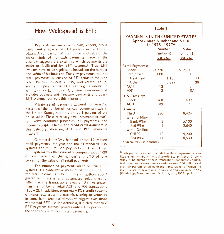## **How Widespread IS EFT?**

Payments are made with cash, checks, credit cards, and a variety of EFT services in the United States. A comparison of the number and value of the major kinds of non-cash payments made in the country suggests the extent to which payments are made or facilitated by EFT systems. $8$  True EFT systems have made significant inroads on the number and value of business and Treasury payments, but not retail payments. Discussion of EFT tends to focus on retail systems, especially POS, and creates an inaccurate impression that EFT is a fledgling innovation with an uncertain future. A broader view-one that includes business and Treasury payments and quasi-EFT systems-corrects this impression.

Private retail payments account for over 96 percent of the number of non-cash payments made in the United States, but only about 4 percent of the dollar value. These relatively small payments primarily involve consumer purchases, bill payments, and income receipts. Checks and credit cards dominate in this category, dwarfing ACH and POS payments (Table 1).

Commercial ACHs handled about 12 million retail payments last year and the 31 standard POS systems about 3 million payments in 1976. These EFT systems together currently comprise about 1/20 of one percent of the number and 2/10 of one percent of the value of all retail payments.

The number of payments made on true EFT systems is a conservative measure of the use of EFT for retail payments. The number of authorization/ guarantee inquiries and automated telephone and teller machine transactions is easily 10 times greater than the number of retail ACH and POS transactions (Table 2). In addition, proprietary POS credit systems of major retailers and electronic clearing of vouchers in some bank credit card systems suggest even more widespread EFT use. Nevertheless, it is clear that true EFT payment systems process only a tiny portion of the enormous number of retail payments.

| , av iv                                                                               |                                         |       |                                 |    |
|---------------------------------------------------------------------------------------|-----------------------------------------|-------|---------------------------------|----|
| PAYMENTS IN THE UNITED STATES<br><b>Approximate Number and Value</b><br>in 1976-1977* |                                         |       |                                 |    |
|                                                                                       | <b>Number</b><br>(millions)<br>per year |       | Value<br>(billions)<br>per year |    |
| <b>Retail Payments:</b>                                                               |                                         |       |                                 |    |
| Check                                                                                 | 27,720                                  |       | \$2,106                         |    |
| Credit card                                                                           | 5,000                                   |       | 71                              |    |
| Bank card                                                                             |                                         | 1,103 |                                 | 33 |
| Other                                                                                 |                                         | 3,897 |                                 | 38 |
| <b>ACH</b>                                                                            | 12                                      |       | 3                               |    |
| <b>POS</b>                                                                            | 3                                       |       | 0.1                             |    |
| U. S. Treasury:                                                                       |                                         |       |                                 |    |
| Check                                                                                 | 768                                     |       | 400                             |    |
| ACH                                                                                   | 89                                      |       | 23                              |    |
| <b>Business:</b>                                                                      |                                         |       |                                 |    |
| Check                                                                                 | 280                                     |       | 8,424                           |    |
| Wire: off-line                                                                        |                                         |       |                                 |    |
| <b>Bank Wire</b>                                                                      | $\overline{c}$                          |       | 5,100                           |    |
| <b>Fed Wire</b>                                                                       | 1                                       |       | 2,040                           |    |
| Wire: On-line                                                                         |                                         |       |                                 |    |
| <b>CHIPS</b>                                                                          | 12                                      |       | 19,200                          |    |
| <b>Fed Wire</b>                                                                       | 11                                      |       | 18,530                          |    |
| *For sources, see Appendix.                                                           |                                         |       |                                 |    |
|                                                                                       |                                         |       |                                 |    |

**Table 1**

8Cash payments are not included in the comparison because little is known about them. According to an Arthur D. Little study "The number of cash transactions conducted annually is difficult to measure, but we estimate over 200 billion (well over 80 percent of all payment transactions) of which the majority are for less than \$1." See *The Consequencesof EFT* (Cambridge, Mass: Arthur D. Little, lnc., 1975), p. 7.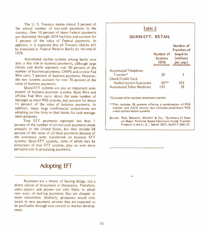The U. S. Treasury makes almost 3 percent of the annual number of non-cash payments in the country. Over 10 percent of these Federal payments are channeled through ACH facilities and account for 5 percent of the value of Federal payments. In addition, it is expected that all Treasury checks will be truncated at Federal Reserve Banks by the end of 1978.

Automated on-line systems among banks now play a key role in business payments, although large checks and drafts represent over 90 percent of the number of business payments. CHIPS and on-line Fed Wire carry 7 percent of business payments. However, the two systems account for over 70 percent of the value of business payments.

Quasi-EFT systems are also an important component of business payment systems. Bank Wire and off-line Fed Wire carry about the same number of messages as retail POS systems, but account for about 14 percent of the value of business payments. In addition, many large nonfinancial corporations are adopting on-line links to their banks for cash management purposes.

True EFT payments represent less than 1 percent of the number of all non-cash payments made annually in the United States, but they include 68 percent of the value of all these payments because of the enormous sums transferred on business EFT systems. Quasi-EFT systems, some of which may be precursors of true EFT systems, play an even more pervasive role in processing payments.

## **Adopting EFT**

Payments are a means of buying things, not a direct source of enjoyment in themselves. Therefore, users-payers and payees-are only likely to adopt new ways of making payments that are cheaper or more convenient. Similarly, producers would only invest in new payment services that are expected to be profitable through cost control or market development.

#### **Table 2**

#### **QUASI-EFT: RETAI L**

|                                         | Number of<br><b>Systems</b><br>1976 | Number of<br><b>Transfers of</b><br><b>Inquiries</b><br>(millions<br>per year) |
|-----------------------------------------|-------------------------------------|--------------------------------------------------------------------------------|
| <b>Automated Telephone</b><br>Transfer* | 20                                  | 3                                                                              |
| Check/Credit Card                       |                                     |                                                                                |
| Authorization-Guarantee                 | $40**$                              | 103                                                                            |
| <b>Automated Teller Machines</b>        | 195                                 | 58                                                                             |

"Excludes teller-assisted telephone transfer.

""This includes 19 systems offering a combination of POS transfer and *CA/G* service, but excludes proprietary POS credit authorization systems.

Source: Peat, Marwick, Mitchell & Co., "Summary of Data on Major Terminal Based Electronic Funds Transfer Projects in the U. S.," March 1977, NCEFT IWD 37.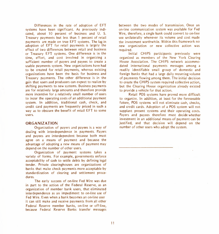Differences in the rate of adoption of EFT systems have been significant. As previously indicated, about 10 percent of business and U. S. Treasury payments but less than 1 percent of retail payments are made on true EFT systems. The lag in adoption of EFT for retail payments is largely the effect of two differences between retail and business or Treasury EFT systems. One difference is in the time, effort, and cost involved in organizing a sufficient number of payers and payees to create a usable payments system. New organizations have had to be created for retail payments, whereas existing organizations have been the basis for business and Treasury payments. The other difference is in the gain that users and producers can expect to realize by shifting payments to new systems. Business payments are for relatively large amounts and therefore provide more incentive for a relatively small number of users to incur the operating costs of an additional payment system. In addition, traditional cash, check, and credit card payments are frequently priced in such a way as to obscure the benefit of retail EFT to some users.

#### **ORGANIZATION**

Organization of payers and payees is a way of dealing with interdependence in payments. Payers and payees are interdependent because both must agree on a means of payment and because the advantage of adopting a new means of payment may depend on the number of other users.

Organization of payment systems takes a variety of forms. For example, governments enforce acceptability of cash to settle debts by defining legal tender. Private clearinghouses are organizations of banks that make check payments more acceptable by standardization of clearing and settlement procedures.

The early success of on-line Fed Wire was due in part to the action of the Federal Reserve, as an organization of member bank users, that eliminated interdependence as an impediment to on-line use of Fed Wire. Even when a bank becomes an on-line user it can still make and receive payments from all other Federal Reserve member banks, on-line or off-line, because Federal Reserve Banks transfer messages between the two modes of transmission. Once an on-line communication system was available for Fed Wire, therefore, a single bank could convert to on-line use unilaterally whenever its volume and cost made the investment worthwhile. Within this framework no new organization or new collective action was required.

Initial CHIPS participants previously were organized as members of the New York Clearing House Association. The CHIPS network accommodated international payments messages among a readily identifiable small group of domestic and foreign banks that had a large daily recurring volume of payments flowing among them. The initial decision to create the CHIPS system required collective action, but the Clearing House organization already existed to provide a vehicle for that action.

Retail POS systems have proved more difficult to organize. In addition, at least for the foreseeable future, POS systems will not eliminate cash, checks, and credit cards. Adoption of a POS system will not supplant present systems and their operating costs. Payers and payees therefore must decide whether investment in an additional means of payment can be justified, and that decision will depend on the number of other users who adopt the system.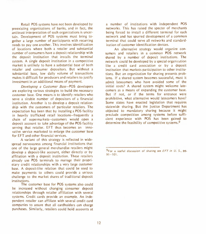Retail POS systems have not been developed by preexisting organizations of banks, and in fact, the antitrust interpretation of such organizations is uncertain. Development of POS systems must bring together a large number of participants with recurring needs to pay one another. This involves identification of locations where both a retailer and substantial number of consumers have a deposit relationship with the deposit institution that installs the terminal system. A single deposit institution in a competitive market is unlikely to have a substantial base of both retailer and consumer depositors. But without a substantial base, low daily volume of transactions makes it difficult for producers and retailers to justify investment in an additional means of payment.

*Developing a Customer Base-POS* developers are exploring various strategies to build the necessary customer base. One means is to identify retailers who serve a sizable number of depositors of a financial institution. Another is to develop a deposit relationship with the customers of particular retailers. The expectation has been that by installing a POS facility in heavily trafficked retail locations-frequently a chain of supermarkets-customers would open a deposit account to take advantage of the POS facility serving that retailer. EFT thus becomes an innovative service marketed to enlarge the customer base for EFT and other financial services.

A variant of this strategy is reflected in widespread nervousness among financial institutions that one of the large general merchandise retailers might develop a deposit-like account, either directly or by affiliation with a deposit institution. These retailers already use POS terminals to manage their proprietary credit relationships with a very large customer base. A deposit-like relation that could be used to make payments to others could provide a serious challenge to the market shares of traditional deposit institutions.

The customer base for POS systems also could be increased without changing consumer deposit relationships through retailer affiliation with several systems. Credit cards provide an example. An independent retailer can affiliate with several credit card companies to assure that all cardholders can charge purchases. Similarly, retailers could hold accounts at a number of institutions with independent POS networks. This has raised the specter of merchants being forced to install a different terminal for each network and has spurred development of a common terminal that could serve all networks and standardization of customer identification devices.

An alternative strategy would organize consumers and retailers in a common POS network shared by a number of deposit institutions. The network could be developed by a special organization like a credit card association or by a deposit institution that markets participation to other institutions. But an organization for sharing presents problems. If a shared system becomes successful, must it admit latecomers who have avoided some of the initial costs? A shared system might welcome latecomers as a means of expanding the customer base. But if not, or if the terms for entrance were prohibitive, what alternative would latecomers have? Some states have enacted legislation that requires statewide sharing. But the Justice Department has objected to mandatory sharing because it might preclude competition among systems before sufficient experience with POS has been gained to determine the feasibility of competitive systems.<sup>9</sup>

<sup>9</sup>For a useful discussion of sharing see *EFT in U.S.*, pp.  $91 - 101.$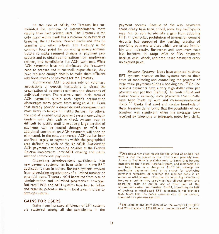In the case of ACHs, the Treasury has surmounted the problem of interdependence more readily than have private users. The Treasury is the only payer whose bank has a nationwide network of branches, the 12 Federal Reserve Banks and their 36 branches and other offices. The Treasury is the common focal point for convincing agency administrators to make required changes in payment procedures and to obtain authorizations from employees, retirees, and beneficiaries for ACH payments. While ACH payments have not eliminated the Treasury's need to prepare and to reconcile paper checks, they have replaced enough checks to make them efficient additional means of payment for the Treasury.

Commercial ACH programs rely on voluntary associations of deposit institutions to direct the organization of payment recipients and thousands of individual payers. The relatively small initial scale of ACH payments within each payer's organization discourages many payers from using an ACH. Firms that already provide a direct deposit arrangement are most likely to be able to justify the cost. For others, the cost of an additional payment system operating in tandem with their cash or check systems may be difficult to justify until a relatively large portion of payments can be routed through an ACH. An additional constraint on ACH payments will soon be eliminated. In the past, commercial ACH use has been confined largely to payments within the geographical area defined by each of the 32 ACHs. Nationwide ACH payments are becoming possible as the Federal Reserve implements inter-ACH clearing and settlement of commercial payments.

Organizing interdependent participants into new payment systems has been easier in some EFT applications than in others. Business systems evolved from preexisting organizations of a limited number of potential users. Treasury ACH benefited from ease of administration and unlimited geographical coverage. But retail POS and ACH systems have had to define and organize potential users in local areas in order to develop systems.

#### **GAINS FOR USERS**

Gains from increased efficiency of EFT systems are scattered among all the participants in the

payment process. Because of the way payments traditionally have been priced, some key participants may not be able to identify a gain from adopting EFT. In particular, prohibition of interest on demand deposits has supported the banking practice of providing payment services which are priced implicitly and indirectly. Businesses and consumers have less incentive to adopt ACH or POS payments because cash, check, and credit card payments carry no explicit price.

*Business Systems-Users* have adopted business EFT systems because on-line systems reduce their costs of monitoring and controlling the progress of large value payments during a banking  $\frac{d}{dx}$ ,  $\frac{d}{dx}$  On-line business payments have a very high dollar value per payment and per user (Table 3). To control float and assure timely delivery, such payments traditionally have been made by wire and messenger-delivered  $check<sup>11</sup>$  Banks that send and receive hundreds of these transfers daily found that the possibility of lost transfers was significant when the messages were received by telephone or telegraph, noted by a clerk,

11The value of one day's interest on the average \$1,700,000 Fed Wire transfer is \$232.88 at an interest rate of 5 percent.

<sup>&</sup>lt;sup>10</sup>One frequently cited reason for the spread of on-line Fed Wire is that the service is free. This is not precisely true. Access to Fed Wire is available only to banks that become members of the Federal Reserve System, and membership is not free. There is a charge of \$1.50 per message for small-value payments; there is no charge for large-value payments regardless of whether the member bank is an on-line or off-line user. Thus, there is no pricing incentive to become an on-line user; users must bear all development and operating costs of on-line use at their end of the telecommunication line. Further, CHIPS, accounting for half of business terminal-based EFT payments, is not provided free. Users bear the entire resource cost of the system, allocated on a per-message basis.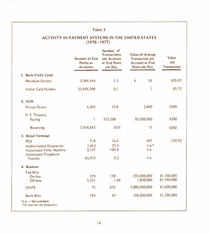### Table 3

#### ACTIVITY IN PAYMENT SYSTEMS IN THE UNITED STATES  $(1976 - 1977)$

|                                                      | Number of End<br><b>Points or</b><br><b>Accounts</b> | Number of<br><b>Transactions</b><br>per Account<br>or End Point<br>per Day | Value of Average<br><b>Transaction per</b><br><b>Account or End</b><br>Point per Day | Value<br>per<br><b>Transaction</b> |
|------------------------------------------------------|------------------------------------------------------|----------------------------------------------------------------------------|--------------------------------------------------------------------------------------|------------------------------------|
| 1. Bank Credit Cards                                 |                                                      |                                                                            |                                                                                      |                                    |
| <b>Merchant Outlets</b>                              | 3,284,444                                            | 1.3                                                                        | 39<br>\$                                                                             | \$29.92                            |
| <b>Active Card Holders</b>                           | 33,956,308                                           | 0.1                                                                        | 1                                                                                    | \$9.75                             |
| 2. ACH                                               |                                                      |                                                                            |                                                                                      |                                    |
| Private Payers                                       | 4,402                                                | 10.8                                                                       | 2,800                                                                                | \$260                              |
| U. S. Treasury                                       |                                                      |                                                                            |                                                                                      |                                    |
| Paying                                               | 1                                                    | 353,288                                                                    | 92,000,000                                                                           | \$260                              |
| Receiving                                            | 7,418,833                                            | 0.05                                                                       | 13                                                                                   | \$260                              |
| 3. Retail Terminal                                   |                                                      |                                                                            |                                                                                      |                                    |
| POS                                                  | 718                                                  | 16.6                                                                       | 497                                                                                  | \$29.92                            |
| Authorization/Guarantee                              | 7,412                                                | 55.4                                                                       | $n.a.*$                                                                              |                                    |
| <b>Automated Teller Machine</b>                      | 2,197                                                | 104.8                                                                      | n.a.                                                                                 |                                    |
| <b>Automated Telephone</b><br>Transfer               | 65,975                                               | 0.2                                                                        | n.a.                                                                                 |                                    |
| 4. Business                                          |                                                      |                                                                            |                                                                                      |                                    |
| <b>Fed Wire</b>                                      |                                                      |                                                                            |                                                                                      |                                    |
| On-line                                              | 379                                                  | 138                                                                        | 235,000,000                                                                          | \$1,700,000                        |
| Off-line                                             | 5,321                                                | 1.04                                                                       | 1,800,000                                                                            | \$1,700,000                        |
| <b>CHIPS</b>                                         | 75                                                   | 635                                                                        | 1,000,000,000                                                                        | \$1,600,000                        |
| <b>Bank Wire</b>                                     | 194                                                  | 61                                                                         | 104,000,000                                                                          | \$1,700,000                        |
| *n.a. - Not available.<br>For sources, see Appendix. |                                                      |                                                                            |                                                                                      |                                    |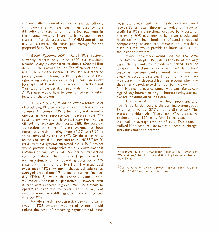and manually processed. Corporate financial officers and bankers alike have been frustrated by the difficulty and expense of finding lost payments in this manual system. Therefore, banks spend more than a million dollars a year for CHIPS and plan to pay an estimated 60 cents per message for the proposed Bank Wire II system.

*Retail Systems: POS-* Retail POS systems currently process only about \$500 per merchant terminal daily as compared to almost \$200 million daily for the average on-line Fed Wire user and \$1 billion daily for the average CHIPS user. Assurance of timely payment through a POS system is of little value when a day's interest, at 5 percent, totals only four-tenths of 1 cent for the average transaction and 7 cents for an average day's payments on a terminal. A POS user would have to benefit from some other feature of the system.

Another benefit might be lower resource costs of producing POS payments, reflected in lower prices to users. Of course, POS systems may not currently operate at lower resource costs. Because most POS systems are new and in large part experimental, it is difficult to evaluate their costs. Still, the cost per transaction on some of these systems has been notoriously high, ranging from \$1.07 to \$3.90 in those surveyed by the NCEFT. On the other hand, analysis of cost data submitted to the NCEFT for 20 retail terminal systems suggested that a POS project would provide a competitive return on investment if revenues or cost savings of 15 cents per transaction could be realized. That is, 15 cents per transaction was an estimate of full operating costs for a POS system.<sup>12</sup> This finding differs from the actual cost experience of POS systems in that actual volume has averaged only about 17 payments per terminal per day (Table 3), while the analysis assumed daily volume of 100 payments per terminal. However, even if producers expected high-volume POS systems to operate at lower resource costs than other payment systems, some users still might not have an incentive to adopt POS.

Retailers might see attractive payment alternatives in POS systems. Automated systems could reduce the costs of processing payments and losses from bad checks and credit cards. Retailers could receive funds faster through same-day or next-day credit for POS transactions. Reduced bank costs for processing POS payments rather than checks and credit card vouchers should be reflected in reduced compensating balance requirements and merchant discounts that would provide an incentive to adopt the lower cost system.

Many consumers would not see the same incentives to adopt POS systems because of the way cash, checks, and credit cards are priced. Free or low-priced checking services are used to attract customers because banks cannot pay interest on checking account balances. In addition, check payments are only deducted from an account when the check has cleared, providing float to the payer. This float is valuable to a consumer who can take advantage of any interest-bearing or interest-saving alternative for the duration of the float.

The value of consumer check processing and float is substantial, costing the banking system about \$7 billion a year for 27.7 billion retail checks.<sup>13</sup> The average individual with "free checking" would receive a value of about \$50 yearly for 15 checks each month that had an average amount of \$76. This value is realized if an account user avoids all account charges and values float at 5 percent.

<sup>&</sup>lt;sup>12</sup>See Russell D. Morris, "Cost and Revenue Requirements of POS Systems," NCEFT Internal Working Document No. 43 (May 1977).

<sup>&</sup>lt;sup>13</sup>Cost is based on 25-cents processing cost per check plus two-day float on payments of \$2 trillion.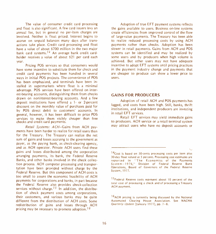The value of consumer credit card processing and float is also significant. A few card issuers levy an annual fee, but in general no per-item charges are involved. Neither is float priced. Interest begins to accrue on unpaid balances many days after transactions take place. Credit card processing and float have a value of about \$700 million in the two major bank card systems.<sup>14</sup> An average bank credit cardholder receives a value of about \$21 per card each year.

Pricing POS services so that consumers would have some incentive to substitute them for check and credit card payments has been handled in several ways in initial POS projects. The convenience of POS has been emphasized, and terminals have been installed in supermarkets where float is a minimal advantage. POS services have been offered on interest-bearing accounts, distinguishing them from checks drawn on noninterest-bearing accounts. And a few deposit institutions have offered a 1- or 2-percent discount on the monthly value of purchases paid for by POS direct debit to customers' accounts. In general, however, it has been difficult to price POS services to make them visibly cheaper than free checks and credit card payments.

*Retail Systems: A* CH-Gains from ACH payments have been harder to realize for retail users than for the Treasury. The Treasury can realize the net sum of gains and losses accruing to the government as payer, as the paying bank, as check-clearing agency, and as ACH operator. Private ACH users find these gains and losses distributed among the corporation arranging payments, its bank, the Federal Reserve Banks, and other banks involved in the check collection process. ACH computer processing and transportation have been provided without charge by the Federal Reserve. But this component of ACH costs is too small to assure the economic feasibility of ACH payments for corporations and banks, in part because the Federal Reserve also provides check-collection services without charge.<sup>15</sup> In addition, the distribution of check payment costs among corporations, their customers, and various banks may be quite different from the distribution of ACH costs. Some redistribution of gains and losses through ACH pricing may be necessary to promote adoption.<sup>16</sup>

Adoption of true EFT payment systems reflects the gains available to users. Business on-line systems create efficiencies from improved control of the flow of large-value payments. The Treasury has been able to realize reduced processing costs by using ACH payments rather than checks. Adoption has been slower in retail payments. Gains from ACH and POS systems can be identified and may be realized by some users and by producers when high volume is achieved. But other users may not have adequate incentive to adopt EFT systems until pricing practices in the payment industry change and payments that are cheaper to produce can show a lower price to users.

#### **GAINS FOR PRODUCERS**

Adoption of retail ACH and POS payments has lagged, and costs have been high. Still, banks, thrift institutions, and independent producers are investing in retail EFT services.

Retail EFT services may yield immediate gains to producers. ACH service or a retail terminal system may attract users who have no deposit accounts or

<sup>14</sup>Cost is based on 50-cents processing costs per item plus 30·day float valued at 5 percent. Processing cost estimates are reported in "The Economics of the Payments System-1976," Division of Federal Reserve Bank Operations, Board of Governors of the Federal Reserve System, 1977.

 $\check{\phantom{0}}$ 

<sup>15</sup>Federal Reserve costs represent about 10 percent of the total cost of processing a check and of processing a Treasury ACH payment.

<sup>16</sup>ACH pricing is currently being discussed by the National Automated Clearing House Association. See NACHA *Quarterly Update* (January 1977), pp. 7-8.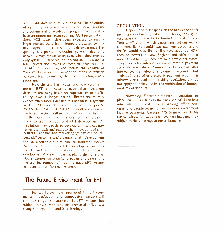who might shift account relationships. The possiblity of capturing recipients' accounts for new Treasury and commercial direct-deposit programs has probably been an important factor spurring ACH participation. Some POS system developers expected to reap a larger market share from shoppers attracted by the new payment alternative, although experience frequently has proved disappointing. Also, electronic networks may reduce costs even when they provide only quasi-EFT services that do not actually connect retail payers and payees. Automated teller machines (ATMs), for example, can reduce the volume of "on-us" checks cashed over-the-counter and written to cover loan payments, thereby eliminating costly processing.

Nevertheless, high costs and low volume in present EFT retail systems suggest that investment decisions are being based on expectations of profitability over a longer period. Entrepreneurs may expect much more intensive reliance on EFT systems in 10 to 20 years. This expectation can be supported by the fact that business and Treasury systems already are secure within the payment mechanism. Furthermore, the declining cost of technology is likely to promote additional EFT development. An institution may decide to develop EFT services now rather than wait and react to the innovations of competitors. Technical and marketing systems can be "debugged;" personnel and organizational development for an electronic future can be initiated; market positions can be molded by developing customer habits and account relationships. This long-run developmental view in part explains the variety of POS strategies for organizing payers and payees and the growing number of true and quasi-EFT systems being introduced for retail payments.

### **The Future Environment for EFT**

Market forces have promoted EFT. Experimental introduction and competitive reaction will continue to guide investments in EFT systems, but subject to two important environmental influences: changes in regulation and in technology.

#### **REGULATION**

Deposit and asset specialties of banks and thrift institutions defined by national chartering and regulatory agencies in the 1930s limited the institutional "territory" within which deposit institutions would compete. Banks would issue payment accounts and thrifts would not. But thrifts have acquired NOW account powers in New England and offer similar non-interest-bearing accounts in a few other states. They can offer interest-bearing electronic payment accounts everywhere. Commercial banks can offer interest-bearing telephone payment accounts, but their ability to offer electronic payment accounts is otherwise restricted by branching regulations that do not apply to thrifts and by the prohibition of interest on demand deposits.

*Branching-Electronic* payment instructions replace customers' trips to the bank. An ACH can be a substitute for maintaining a banking office convenient to people receiving paychecks or government income payments. Because POS terminals or ATMs can substitute for banking offices, terminals might be subject to the same regulations as branches.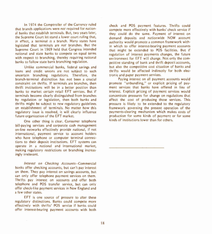In 1974 the Comptroller of the Currency ruled that branch applications were *not* required for national banks that establish terminals. But, two years later, the Supreme Court let stand a lower court ruling that, in effect, a terminal *is* a branch. Many states have legislated that terminals are *not* branches. But the Supreme Court in 1969 held that Congress intended national and state banks to compete on equal terms with respect to branching, thereby requiring national banks to follow state bank branching regulation.

Unlike commercial banks, federal savings and loans and credit unions are not subject to such uncertain branching regulations. Therefore, the branch-terminal distinction has not been a crucial constraint on thrifts. If terminals are branches, then thrift institutions will be in a better position than banks to market certain retail EFT services. But if terminals become clearly distinguished from branches by regulation or legislation, then both banks and thrifts might be subject to new regulatory guidelines on establishment of terminals. No matter how this regulatory issue is resolved, it will clearly influence future organization of the EFT market.

One other thing is clear. Consumer telephone bill-paying services and corporate cash management on-line networks effectively provide national, if not international, payment service to account holders who have telephone or computer terminal connections to their deposit institutions. EFT systems can operate in a national and international market, making regulatory restrictions on branching increasingly irrelevant.

*Interest on Checking Accounts-Commercial* banks offer checking accounts, but can't pay interest on them. They pay interest on savings accounts, but can only offer telephone payment services on them. Thrifts pay interest on accounts and offer both telephone and POS transfer service, but can only offer check-like payment services in New England and a few other states.

EFT is one source of pressure to alter these regulatory distinctions. Banks could compete more effectively with thrifts' POS service if banks could offer interest-bearing payment accounts with both

check and POS payment features. Thrifts could compete more effectively with banks' check service if they could do the same. Payment of interest on demand deposits and nationwide NOW account authority would promote a common framework within which to offer interest-bearing payment accounts that might be extended to POS facilities. But if regulation of interest payments changes, the future environment for EFT will change. Not only the competitive standing of bank and thrift deposit accounts, but also the competitive cost situation of banks and thrifts would be affected indirectly for both electronic and paper payment services.

Paying interest on all payment accounts would promote "unbundling," or explicit pricing of payment services that banks have offered in lieu of interest. Explicit pricing of payment services would concentrate pressures for change on regulations that affect the cost of producing those services. This pressure is likely to be extended to the regulatory framework governing the present operation of the payments-clearing mechanism which makes costs of production for some kinds of payment or for some kinds of institutions lower than for others.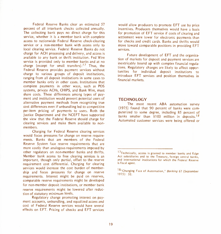Federal Reserve Banks clear an estimated 57 percent of all interbank checks collected annually. The collecting bank pays no direct charge for this service, whether it is a member bank with complete access to nationwide Federal Reserve check-clearing service or a non-member bank with access only to local clearing service. Federal Reserve Banks do not charge for ACH processing and delivery, and access is available to any bank or thrift institution. Fed Wire service is provided only to member banks and at no charge (except for small transfers).<sup>77</sup> Thus, the Federal Reserve provides payment services without charge to various groups of deposit institutions, ranging from all deposit institutions in some cases to member banks only in other cases. Institutions that complete payments in other ways, such as POS systems, private ACHs, CHIPS, and Bank Wire, must share costs. These differences among types of payment and institution would prevent potential users of alternative payment methods from recognizing true cost differences even if unbundling led to competitive per-item pricing of payments to users. Both the Justice Department and the NCEFT have supported the view that the Federal Reserve should charge for clearing services and make them available to nonmembers.

Charging for Federal Reserve clearing services would focus pressures for change on reserve requirements. Banks that are members of the Federal Reserve System face reserve requirements that are more costly than analogous requirements imposed by other regulators on non-member banks and thrifts. Member bank access to free clearing services is an important, though only partial, offset to the reserve requirement cost differential. Charging for clearing services would increase the cost burden of membership and focus pressures for change on reserve requirements. Interest might be paid on reserves, comparable reserve requirements might be developed for non-member deposit institutions, or member bank reserve requirements might be lowered after reduction of statutory minimum levels.

Regulatory change promoting interest on payment accounts, unbundling, and equalized access and cost of Federal Reserve services would have several effects on EFT. Pricing of checks and EFT services would allow producers to promote EFT use by price incentives. Producers themselves would have a basis for promotion of EFT service if costs of clearing and settlement were lower for electronic payments than for checks and credit cards. Banks and thrifts would move toward comparable positions in providing EFT services.

Future development of EFT and the organization of markets for deposit and payment services are inextricably bound up with complex financial regulations. Regulatory changes are likely to affect opportunities for individual deposit institutions to introduce EFT services and position themselves in financial markets.

#### **TECHNOLOGY**

The most recent ABA automation survey (1975) found that 90 percent of banks were computerized to some degree, including 85 percent of banks smaller than  $$100$  million in deposits.<sup>18</sup> Automated customer services were being offered or

<sup>17</sup>Technically, access is granted to member banks and Edge Act subsidiaries and to the Treasury, foreign central banks, and international institutions for which the Federal Reserve is fiscal agent.

<sup>18&</sup>quot;Changing Face of Automation," Banking 67 (September 1975): 32.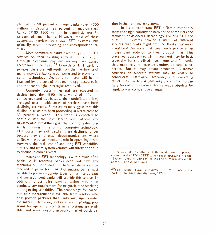planned by 98 percent of large banks (over \$500 million in deposits), 83 percent of medium-sized banks (\$100-\$500 million in deposits), and 34 percent of small banks. However, most of these automated services were *not* EFT systems, but primarily payroll processing and correspondent services.

Most commercial banks have not yet built EFT services on their existing automation foundation, although electronic payment systems have gained acceptance since  $1975$ .<sup>19</sup> Growth of EFT banking services, therefore, will result from the investments of many individual banks in computer and telecommunication technology. Decisions to invest will be influenced by the cost of that technology, access to it, and the technological strategies employed.

Computer costs in general are expected to decline into the 1980s. In a world of inflation, computers stand out because their undeflated prices, averaged over a wide array of services, have been declining for years. Some estimates suggest that this decline in costs has been proceeding at a rate close to 30 percent a year.<sup>20</sup> This trend is expected to continue into the next decade even without any fundamental breakthroughs that would solve presently foreseen limitations on computer technology. EFT costs may not parallel these declining prices because they emphasize telecommunications, where tariffs will play an important role in operating costs. However, the real cost of acquiring EFT capability directly and from system vendors will surely continue to decline in coming years.

Access to EFT technology is within reach of all banks. ACH receiving banks need not have any technological sophistication because items can be received in paper form. ACH originating banks must be able to prepare magnetic tapes, but service bureaus and correspondent banks will provide this service. In addition, direct wire communication may soon eliminate any requirement for magnetic tape receiving or originating capability. The technology for corporate cash management is available from vendors who now provide packages that banks may use to enter the market. Hardware, software, and marketing programs for operating retail terminal systems are available, and some existing networks market participation in their computer systems.

In its current state EFT differs substantially from the single nationwide network of computers and terminals envisioned a decade ago. Existing EFT and quasi-EFT systems provide a menu of different services that banks might produce. Banks may make investment decisions that treat each service as an independent addition to their product lines. This piecemeal approach to EFT investment may be best, especially for short-lived investments and for banks that must rely on outside vendors to acquire expertise. But it may create problems. Customer activities on separate systems may be costly to consolidate. Hardware, software, and marketing efforts may overlap. A bank may become technologically locked in to service designs made obsolete by regulatory or competitive changes.

20See Rein Turn, *Computers in the 80's* (New York: Columbia University Press, 1974).

<sup>19</sup>For example, two-thirds of the retail terminal projects covered in the 1976 NCEFT survey began operating in either 1975 or 1976, including 90 of the 172 ATM projects and 88 of the 95 non-ATM projects.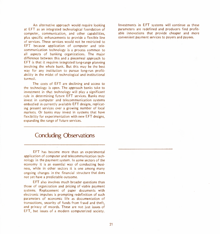An alternative approach would require looking at EFT as an integrated technological foundation of computer, communication, and other capabilities, plus specific enhancements to provide a flexible line of services. These services would not be restricted to EFT because application of computer and telecommunication technology is a process common to all aspects of banking organizations. The major difference between this and a piecemeal approach to EFT is that it requires integrated long-range planning involving the whole bank. But this may be the best way for any institution to pursue long-run profitability in the midst of technological and institutional turmoil.

The costs of EFT are declining and access to the technology is open. The approach banks take to investment in that technology will playa significant role in determining future EFT services. Banks may invest in computer and telecommunication systems embodied in currently available EFT designs, replicating present services over a growing number of local markets. Or banks may invest in systems that have flexibility for experimentation with new EFT designs, expanding the range of future services.

## **Concluding Observations**

EFT has become more than an experimental application of computer and telecommunication technology in the payment system. In some sectors of the economy it is an essential way of conducting business, while in other sectors it is one among many ongoing changes in the financial structure that does not yet have a predictable outcome.

EFT also involves much broader questions than those of organization and pricing of viable payment systems. Replacement of paper documents with electronic impulses is prompting redefinition of such parameters of economic life as documentation of transactions, security of funds from fraud and theft, and privacy of records. These are not just issues of EFT, but issues of a modern computerized society.

Investments in EFT systems will continue as these parameters are redefined and producers find profitable innovations that provide cheaper and more convenient payment services to payers and payees.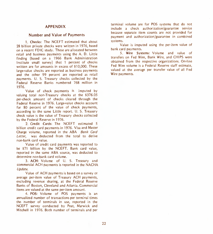#### **APPENDIX**

#### Number and Value of Payments

1. Checks: The NCEFT estimated that about 28 billion private checks were written in 1976, based on a recent FDIC study. These are allocated between retail and business payments using the A. D. Little finding (based on a 1966 Bank Administration Institute small survey) that 1 percent of checks written are for amounts in excess of \$10,000. These large-value checks are reported as business payments and the other 99 percent are reported as retail payments. U. S. Treasury checks collected by the Federal Reserve Banks numbered 768 million in 1976.

Value of check payments is imputed by valuing total non-Treasury checks at the \$376.05 per-check amount of checks cleared through the Federal Reserve in 1976. Large-value checks account for 80 percent of the value of check payments, according to the same Little report. U. S. Treasury check value is the value of Treasury checks collected by the Federal Reserve in 1976.

2. Credit Cards: The NCEFT estimated 5 billion credit card payments in 1976. Visa and Master Charge volume, reported in the ABA *Bank Card Letter,* was deducted from the total to derive non-bank card value.

Value of credit card payments was reported to be \$71 billion by the NCEFT. Bank card value, reported in the same ABA source, was deducted to determine non-bank card volume.

3. ACH: Volume of U. S. Treasury and commercial ACH payments is reported in the NACHA *Update.*

Value of ACH payments is based on a surveyor average per-item value of Treasury ACH payments, excluding revenue sharing, at the Federal Reserve Banks of Boston, Cleveland and Atlanta. Commercial items are valued at the same per-item amount.

4. POS: Volume of POS payments is an annualized number of transactions per terminal times the number of terminals in use, reported in the NCEFT survey conducted by Peat, Marwick and Mitchell in 1976. Both number of terminals and per terminal volume are for POS systems that do not include a check authorization/guarantee service because separate item counts are not provided for payment and authorization/guarantee in combined systems.

Value is imputed using the per-item value of bank card payments.

5. Wire Systems: Volume and value of transfers on Fed Wire, Bank Wire, and CHIPS were obtained from the respective organizations. On-line Fed Wire volume is a Federal Reserve staff estimate, valued at the average per transfer value of all Fed Wire payments.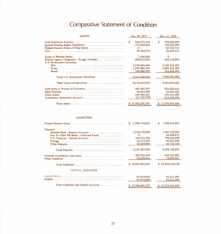## **Comparative Statement of Condition**

| <b>ASSETS</b>                                                                                            | Dec. 30, 1977                                          | Dec. 31, 1976                                                |
|----------------------------------------------------------------------------------------------------------|--------------------------------------------------------|--------------------------------------------------------------|
| Gold Certificate Reserves<br>Special Drawing Rights Certificates<br>Federal Reserve Notes of Other Banks | 933,870,100<br>S<br>107,000,000<br>$-0-$<br>39,702,072 | 939,388,200<br>\$<br>103,000,000<br>63,793,713<br>46,208,019 |
| Federal Agency Obligations - Bought Outright<br>U.S. Government Securities:                              | 1,550,000<br>669,970,000                               | $-0-$<br>560,153,000                                         |
|                                                                                                          | 3,478,894,000<br>4,227,966,000                         | 3,180,233,000<br>3,955,325,000                               |
|                                                                                                          | 740,668,000<br>8,447,528,000                           | 554,496,000<br>7,690,054,000                                 |
|                                                                                                          | 9,119,048,000                                          | 8,250,207,000                                                |
| Cash Items in Process of Collection                                                                      | 460.882.397<br>22,825,499                              | 604,290,443<br>24.054.463                                    |
| Interdistrict Settlement Account                                                                         | 140,423,451<br>(41, 750, 722)                          | 130,151,006<br>215,460,395                                   |
|                                                                                                          | \$10,782,000,797                                       | \$10,376,553,239                                             |

#### LIABILITIES

|                                                                                                                                                                                                                                | 7,986,742,657<br>\$. | S<br>7,382,250,855 |
|--------------------------------------------------------------------------------------------------------------------------------------------------------------------------------------------------------------------------------|----------------------|--------------------|
| Deposits:                                                                                                                                                                                                                      |                      |                    |
| Member Bank - Reserve Accounts                                                                                                                                                                                                 | 1,649,739,882        | 1,327,438,555      |
| Due To Other FR Banks - Collected Funds                                                                                                                                                                                        | $-0-$                | 26,468,675         |
| U.S. Treasurer - General Account                                                                                                                                                                                               | 450,724,792          | 788,564,949        |
|                                                                                                                                                                                                                                | 23,710,200           | 20,505,900         |
|                                                                                                                                                                                                                                | 43,822,984           | 40,758,742         |
|                                                                                                                                                                                                                                | 2,167,997,858        | 2,203,736,821      |
| Deferred Availability Cash Items                                                                                                                                                                                               | 361,023,439          | 549,153,562        |
|                                                                                                                                                                                                                                | 92,199,543           | 72,983,501         |
| Total Liabilities                                                                                                                                                                                                              | \$10,607,963,497     | \$10,208,124,739   |
| CAPITAL ACCOUNTS                                                                                                                                                                                                               |                      |                    |
|                                                                                                                                                                                                                                | 87.018,650           | 84,214,250         |
| Surplus to a control of the control of the control of the control of the control of the control of the control of the control of the control of the control of the control of the control of the control of the control of the | 87,018,650           | 84,214,250         |
| Total Liabilities and Capital Accounts                                                                                                                                                                                         | \$10,782,000,797     | \$10,376,553,239   |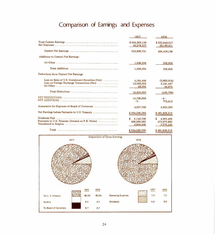## **Comparison of Earnings and Expenses**

|                                                                                                                                                                                                                                                                               | 1977            | 1976             |
|-------------------------------------------------------------------------------------------------------------------------------------------------------------------------------------------------------------------------------------------------------------------------------|-----------------|------------------|
|                                                                                                                                                                                                                                                                               | \$564,269,128   | \$523,648.517    |
|                                                                                                                                                                                                                                                                               | 40,378,337      | 39,189,411       |
| Current Net Earnings                                                                                                                                                                                                                                                          | 523,890,791     | 484,459,106      |
| Additions to Current Net Earnings:                                                                                                                                                                                                                                            |                 |                  |
|                                                                                                                                                                                                                                                                               | 1.026.394       | 335,816          |
| Total Additions                                                                                                                                                                                                                                                               | 1,026,394       | 335,816          |
| Deductions from Current Net Earnings:                                                                                                                                                                                                                                         |                 |                  |
| Loss on Sales of U.S. Government Securities (Net)                                                                                                                                                                                                                             | 4,185,456       | (2,662,918)      |
| Loss on Foreign Exchange Transactions (Net)<br>All Other Contract of Contract of Contract of Contract of Contract of Contract of Contract of Contract of Contract of Contract of Contract of Contract of Contract of Contract of Contract of Contract of Contract of Contract | 12,589,053      | 2,181,447        |
|                                                                                                                                                                                                                                                                               | 48,584          | 44,675           |
| Total Deductions                                                                                                                                                                                                                                                              | 16,823,093      | (436, 796)       |
|                                                                                                                                                                                                                                                                               | 15,796,699      | $-0 -$           |
|                                                                                                                                                                                                                                                                               | $0.0 -$         | 772,612          |
| Assessment for Expenses of Board of Governors                                                                                                                                                                                                                                 | 4.057.700       | 3,623,500        |
| Net Earnings before Payments to U.S. Treasury                                                                                                                                                                                                                                 | \$504,036,392   | \$481,608,218    |
|                                                                                                                                                                                                                                                                               | \$<br>5,142,729 | 4,953,406<br>\$. |
| Payments to U.S. Treasury (Interest on F.R. Notes)                                                                                                                                                                                                                            | 496,089,263     | 473,075,662      |
|                                                                                                                                                                                                                                                                               | 2,804,400       | 3,579,150        |
|                                                                                                                                                                                                                                                                               | \$504036392     | \$481608218      |

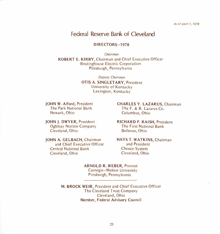## Federal Reserve Bank of Cleveland

#### DIRECTORS-1978

*Chairman* ROBERT E. KIRBY, Chairman and Chief Executive Officer Westinghouse Electric Corporation Pittsburgh, Pennsylvania

> *Deputy Chairman* OTIS A. SINGLETARY, President University of Kentucky Lexington, Kentucky

JOHN W. Alford, President The Park National Bank Newark, Ohio

JOHN J. DWYER, President Oglebay Norton Company Cleveland, Ohio

JOHN A. GELBACH, Chairman and Chief Executive Officer **Central National Bank** Cleveland, Ohio

CHARLES Y. LAZARUS, Chairman The F. & R. Lazarus Co. Columbus, Ohio

RICHARD P. RAISH, President The First National Bank Bellevue, Ohio

#### HAYS T. WATKINS, Chairman and President Chessie System Cleveland, Ohio

ARNOLD R. WEBER, Provost Carnegie-Mellon University Pittsburgh, Pennsylvania

M. BROCK WEIR, President and Chief Executive Officer The Cleveland Trust Company Cleveland, Ohio Member, Federal Advisory Council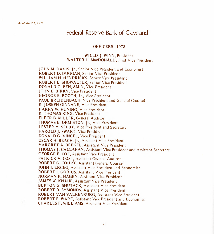*As of April* 7, 7978

## Federal Reserve Bank of Cleveland

#### OFFICERS-1978

#### WILLIS I. WINN. President WALTER H. MacDONALD, First Vice President

JOHN M. DAVIS, Jr., Senior Vice President and Economist ROBERT D. DUGGAN, Senior Vice President WILLIAM H. HENDRICKS, Senior Vice President ROBERT E. SHOWALTER, Senior Vice President DONALD G. BENJAMIN, Vice President JOHN E. BIRKY, Vice President GEORGE E. BOOTH, Jr., Vice President PAUL BREIDENBACH, Vice President and General Counsel R. JOSEPH GINNANE, Vice President HARRY W. HUNING, Vice President R. THOMAS KING, Vice President ELFER B. MILLER, General Auditor THOMAS E. ORMISTON, Jr., Vice President LESTER M. SELBY, Vice President and Secretary HAROLD J. SWART, Vice President PONALD G. VINCEL, Vice President OSCAR H. BEACH, Jr., Assistant Vice President MARGRET A. BEEKEL, Assistant Vice President THOMAS J. CALLAHAN, Assistant Vice President and Assistant Secretary GEORGE E. COE, Assistant Vice President PATRICK V. COST, Assistant General Auditor ROBERT G. COURY, Assistant General Counsel **JOHN J. ERCEG, Assistant Vice President and Economist** ROBERT J. GORIUS, Assistant Vice President NORMAN K. HAGEN, Assistant Vice President JAMES W. KNAUF, Assistant Vice President BURTON G. SHUTACK, Assistant Vice President ROBERT D. SYMONDS, Assistant Vice President ROBERT VAN VALKENBURG, Assistant Vice President ROBERT F. WARE, Assistant Vice President and Economist CHARLES F. WILLIAMS, Assistant Vice President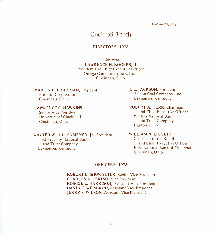*As of April* 7, 7978

## Cincinnati Branch

#### DIRECTORS-1978

*Chairman* LAWRENCE H. ROGERS, II President and Chief Executive Officer Omega Communications, Inc., Cincinnati, Ohio

#### MARTIN B. FRIEDMAN, President Formica Corporation Cincinnati, Ohio

#### LAWRENCE C. HAWKINS Senior Vice President

University of Cincinnati Cincinnati, Ohio

#### WALTER W. HILLENMEYER, Jr., President

First Security National Bank and Trust Company Lexington; Kentucky

#### J. L. JACKSON, President Falcon Coal Company, Inc. Lexington, Kentucky

#### ROBERT A. KERR, Chairman and Chief Executive Officer Winters National Bank and Trust Company Dayton, Ohio

#### WILLIAM N. LIGGETT

Chairman of the Board and Chief Executive Officer First National Bank of Cincinnati Cincinnati, Ohio

#### OFFICERS-1978

ROBERT E. SHOWALTER, Senior Vice President CHARLES A. CERINO, Vice President ROSCOE E. HARRISON, Assistant Vice President DAVID F. WEISBROD, Assistant Vice President JERRY S. WILSON, Assistant Vice President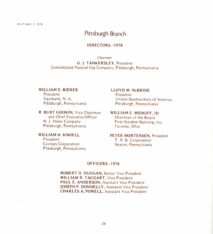*As of April* 1, 1978

## Pittsburgh Branch

#### DIRECTORS-1978

#### *Chairman*

G. J. TANKERSLEY, President Consolidated Natural Gas Company, Pittsburgh, Pennsylvania

#### WILLIAM E. BIERER President Equibank, N. A. Pittsburgh, Pennsylvania

R. BURT GOOKIN, Vice Chairman and Chief Executive Officer H. J. Heinz Company Pittsburgh, Pennsylvania

#### WILLIAM H. KNOELL President Cyclops Corporation Pittsburgh, Pennsylvania

### LLOYD M. McBRIDE

President United Steelworkers of America Pittsburgh, Pennsylvania

#### WILLIAM E. MIDKIFF, **III**

Chairman of the Board First Steuben Bancorp, Inc. Toronto, Ohio

#### PETER MORTENSEN, President

F. N. B. Corporation Sharon, Pennsylvania

#### OFFICERS-1978

ROBERT D. DUGGAN, Senior Vice President WILLIAM R. TAGGART, Vice President PAUL E. ANDERSON, Assistant Vice President JOSEPH P. DONNELLY, Assistant Vice President CHARLES A. POWELL, Assistant Vice President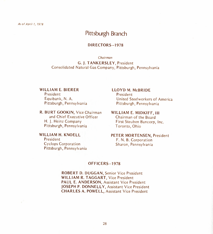*As of April* 1, 1978

## Pittsburgh Branch

#### DIRECTORS-1978

#### *Chairman*

G. J. TANKERSLEY, President Consolidated Natural Gas Company, Pittsburgh, Pennsylvania

#### WILLIAM E. BIERER President Equibank, N. A. Pittsburgh, Pennsylvania

R. BURT GOOKIN, Vice Chairman and Chief Executive Officer H. J. Heinz Company Pittsburgh, Pennsylvania

WILLIAM H. KNOELL President Cyclops Corporation Pittsburgh, Pennsylvania

#### LLOYD M. McBRIDE President United Steelworkers of America

Pittsburgh, Pennsylvania

#### WILLIAM E. MIDKIFF, **III**

Chairman of the Board First Steuben Bancorp, Inc. Toronto, Ohio

#### PETER MORTENSEN, President

F. N. B. Corporation Sharon, Pennsylvania

#### OFFICERS-1978

ROBERT D. DUGGAN, Senior Vice President WILLIAM R. TAGGART, Vice President PAUL E. ANDERSON, Assistant Vice President JOSEPH P. DONNELLY, Assistant Vice President CHARLES A. POWELL, Assistant Vice President